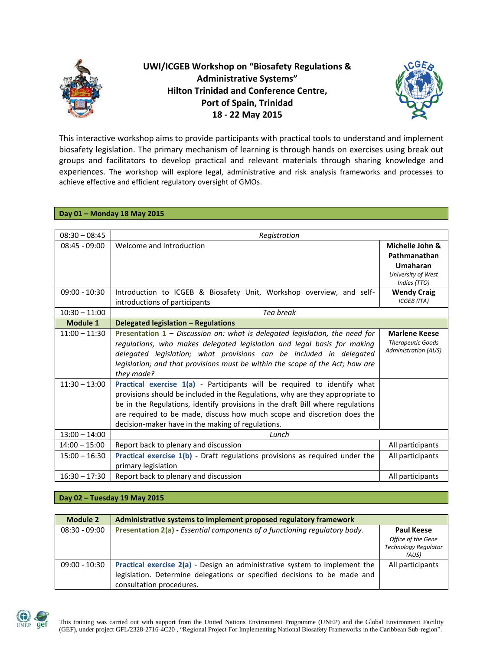

# **UWI/ICGEB Workshop on "Biosafety Regulations & Administrative Systems" Hilton Trinidad and Conference Centre, Port of Spain, Trinidad 18 - 22 May 2015**



This interactive workshop aims to provide participants with practical tools to understand and implement biosafety legislation. The primary mechanism of learning is through hands on exercises using break out groups and facilitators to develop practical and relevant materials through sharing knowledge and experiences. The workshop will explore legal, administrative and risk analysis frameworks and processes to achieve effective and efficient regulatory oversight of GMOs.

## **Day 01 – Monday 18 May 2015**

| $08:30 - 08:45$ | Registration                                                                                                                                                                                                                                                                                                                                                                |                                                                                   |
|-----------------|-----------------------------------------------------------------------------------------------------------------------------------------------------------------------------------------------------------------------------------------------------------------------------------------------------------------------------------------------------------------------------|-----------------------------------------------------------------------------------|
| $08:45 - 09:00$ | Welcome and Introduction                                                                                                                                                                                                                                                                                                                                                    | Michelle John &<br>Pathmanathan<br>Umaharan<br>University of West<br>Indies (TTO) |
| $09:00 - 10:30$ | Introduction to ICGEB & Biosafety Unit, Workshop overview, and self-<br>introductions of participants                                                                                                                                                                                                                                                                       | <b>Wendy Craig</b><br><b>ICGEB</b> (ITA)                                          |
| $10:30 - 11:00$ | Tea break                                                                                                                                                                                                                                                                                                                                                                   |                                                                                   |
| Module 1        | Delegated legislation - Regulations                                                                                                                                                                                                                                                                                                                                         |                                                                                   |
| $11:00 - 11:30$ | <b>Presentation 1</b> – Discussion on: what is delegated legislation, the need for<br>regulations, who makes delegated legislation and legal basis for making<br>delegated legislation; what provisions can be included in delegated<br>legislation; and that provisions must be within the scope of the Act; how are<br>they made?                                         | <b>Marlene Keese</b><br><b>Therapeutic Goods</b><br><b>Administration (AUS)</b>   |
| $11:30 - 13:00$ | Practical exercise 1(a) - Participants will be required to identify what<br>provisions should be included in the Regulations, why are they appropriate to<br>be in the Regulations, identify provisions in the draft Bill where regulations<br>are required to be made, discuss how much scope and discretion does the<br>decision-maker have in the making of regulations. |                                                                                   |
| $13:00 - 14:00$ | Lunch                                                                                                                                                                                                                                                                                                                                                                       |                                                                                   |
| $14:00 - 15:00$ | Report back to plenary and discussion                                                                                                                                                                                                                                                                                                                                       | All participants                                                                  |
| $15:00 - 16:30$ | Practical exercise 1(b) - Draft regulations provisions as required under the<br>primary legislation                                                                                                                                                                                                                                                                         | All participants                                                                  |
| $16:30 - 17:30$ | Report back to plenary and discussion                                                                                                                                                                                                                                                                                                                                       | All participants                                                                  |

## **Day 02 – Tuesday 19 May 2015**

| Module 2        | Administrative systems to implement proposed regulatory framework                                                                                                                  |                                                                                 |
|-----------------|------------------------------------------------------------------------------------------------------------------------------------------------------------------------------------|---------------------------------------------------------------------------------|
| $08:30 - 09:00$ | Presentation 2(a) - Essential components of a functioning regulatory body.                                                                                                         | <b>Paul Keese</b><br>Office of the Gene<br><b>Technology Regulator</b><br>(AUS) |
| $09:00 - 10:30$ | Practical exercise 2(a) - Design an administrative system to implement the<br>legislation. Determine delegations or specified decisions to be made and<br>consultation procedures. | All participants                                                                |

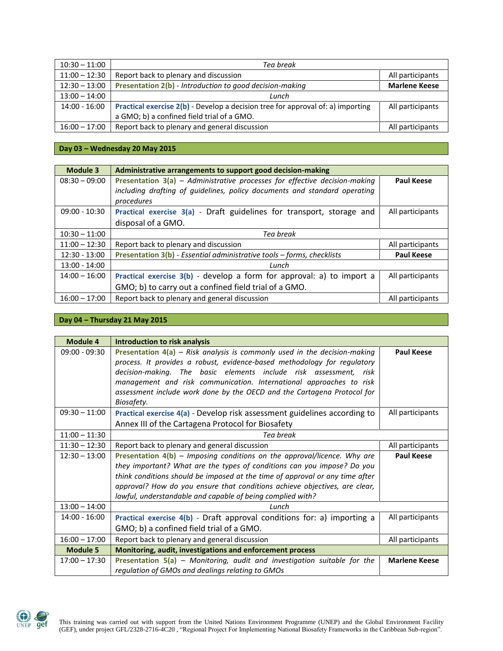| $10:30 - 11:00$ | Tea break                                                                       |                      |
|-----------------|---------------------------------------------------------------------------------|----------------------|
| $11:00 - 12:30$ | Report back to plenary and discussion                                           | All participants     |
| $12:30 - 13:00$ | <b>Presentation 2(b)</b> - Introduction to good decision-making                 | <b>Marlene Keese</b> |
| $13:00 - 14:00$ | Lunch                                                                           |                      |
| 14:00 - 16:00   | Practical exercise 2(b) - Develop a decision tree for approval of: a) importing | All participants     |
|                 | a GMO; b) a confined field trial of a GMO.                                      |                      |
| $16:00 - 17:00$ | Report back to plenary and general discussion                                   | All participants     |

## **Day 03 – Wednesday 20 May 2015**

| <b>Module 3</b> | Administrative arrangements to support good decision-making                       |                   |
|-----------------|-----------------------------------------------------------------------------------|-------------------|
| $08:30 - 09:00$ | <b>Presentation 3(a)</b> - Administrative processes for effective decision-making | <b>Paul Keese</b> |
|                 | including drafting of guidelines, policy documents and standard operating         |                   |
|                 | procedures                                                                        |                   |
| $09:00 - 10:30$ | Practical exercise 3(a) - Draft guidelines for transport, storage and             | All participants  |
|                 | disposal of a GMO.                                                                |                   |
| $10:30 - 11:00$ | Tea break                                                                         |                   |
| $11:00 - 12:30$ | Report back to plenary and discussion                                             | All participants  |
| $12:30 - 13:00$ | <b>Presentation 3(b)</b> - Essential administrative tools – forms, checklists     | <b>Paul Keese</b> |
| $13:00 - 14:00$ | Lunch                                                                             |                   |
| $14:00 - 16:00$ | Practical exercise 3(b) - develop a form for approval: a) to import a             | All participants  |
|                 | GMO; b) to carry out a confined field trial of a GMO.                             |                   |
| $16:00 - 17:00$ | Report back to plenary and general discussion                                     | All participants  |

## **Day 04 – Thursday 21 May 2015**

| Module 4        | <b>Introduction to risk analysis</b>                                                                                                                                                                                                                                                                                                                                                              |                      |
|-----------------|---------------------------------------------------------------------------------------------------------------------------------------------------------------------------------------------------------------------------------------------------------------------------------------------------------------------------------------------------------------------------------------------------|----------------------|
| $09:00 - 09:30$ | <b>Presentation 4(a)</b> – Risk analysis is commonly used in the decision-making<br>process. It provides a robust, evidence-based methodology for regulatory<br>decision-making. The basic elements include risk assessment, risk<br>management and risk communication. International approaches to risk<br>assessment include work done by the OECD and the Cartagena Protocol for<br>Biosafety. | <b>Paul Keese</b>    |
| $09:30 - 11:00$ | Practical exercise 4(a) - Develop risk assessment guidelines according to<br>Annex III of the Cartagena Protocol for Biosafety                                                                                                                                                                                                                                                                    | All participants     |
| $11:00 - 11:30$ | Tea hreak                                                                                                                                                                                                                                                                                                                                                                                         |                      |
| $11:30 - 12:30$ | Report back to plenary and general discussion                                                                                                                                                                                                                                                                                                                                                     | All participants     |
| $12:30 - 13:00$ | <b>Presentation 4(b)</b> – Imposing conditions on the approval/licence. Why are                                                                                                                                                                                                                                                                                                                   | <b>Paul Keese</b>    |
|                 | they important? What are the types of conditions can you impose? Do you                                                                                                                                                                                                                                                                                                                           |                      |
|                 | think conditions should be imposed at the time of approval or any time after                                                                                                                                                                                                                                                                                                                      |                      |
|                 | approval? How do you ensure that conditions achieve objectives, are clear,                                                                                                                                                                                                                                                                                                                        |                      |
|                 | lawful, understandable and capable of being complied with?                                                                                                                                                                                                                                                                                                                                        |                      |
| $13:00 - 14:00$ | Lunch                                                                                                                                                                                                                                                                                                                                                                                             |                      |
| $14:00 - 16:00$ | Practical exercise 4(b) - Draft approval conditions for: a) importing a                                                                                                                                                                                                                                                                                                                           | All participants     |
|                 | GMO; b) a confined field trial of a GMO.                                                                                                                                                                                                                                                                                                                                                          |                      |
| $16:00 - 17:00$ | Report back to plenary and general discussion                                                                                                                                                                                                                                                                                                                                                     | All participants     |
| <b>Module 5</b> | Monitoring, audit, investigations and enforcement process                                                                                                                                                                                                                                                                                                                                         |                      |
| $17:00 - 17:30$ | Presentation $5(a)$ – Monitoring, audit and investigation suitable for the<br>regulation of GMOs and dealings relating to GMOs                                                                                                                                                                                                                                                                    | <b>Marlene Keese</b> |